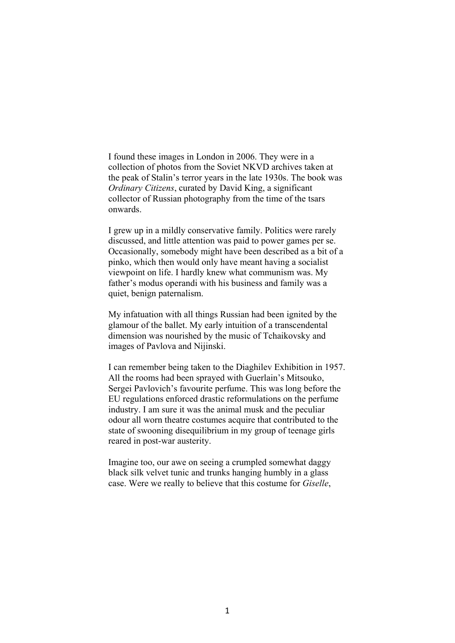I found these images in London in 2006. They were in a collection of photos from the Soviet NKVD archives taken at the peak of Stalin's terror years in the late 1930s. The book was *Ordinary Citizens*, curated by David King, a significant collector of Russian photography from the time of the tsars onwards.

I grew up in a mildly conservative family. Politics were rarely discussed, and little attention was paid to power games per se. Occasionally, somebody might have been described as a bit of a pinko, which then would only have meant having a socialist viewpoint on life. I hardly knew what communism was. My father's modus operandi with his business and family was a quiet, benign paternalism.

My infatuation with all things Russian had been ignited by the glamour of the ballet. My early intuition of a transcendental dimension was nourished by the music of Tchaikovsky and images of Pavlova and Nijinski.

I can remember being taken to the Diaghilev Exhibition in 1957. All the rooms had been sprayed with Guerlain's Mitsouko, Sergei Pavlovich's favourite perfume. This was long before the EU regulations enforced drastic reformulations on the perfume industry. I am sure it was the animal musk and the peculiar odour all worn theatre costumes acquire that contributed to the state of swooning disequilibrium in my group of teenage girls reared in post-war austerity.

Imagine too, our awe on seeing a crumpled somewhat daggy black silk velvet tunic and trunks hanging humbly in a glass case. Were we really to believe that this costume for *Giselle*,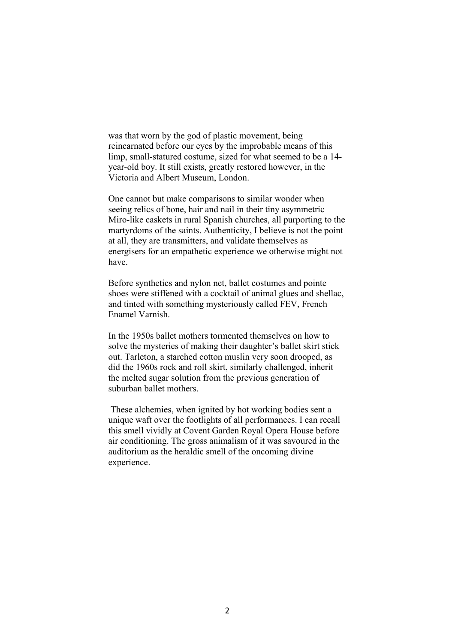was that worn by the god of plastic movement, being reincarnated before our eyes by the improbable means of this limp, small-statured costume, sized for what seemed to be a 14 year-old boy. It still exists, greatly restored however, in the Victoria and Albert Museum, London.

One cannot but make comparisons to similar wonder when seeing relics of bone, hair and nail in their tiny asymmetric Miro-like caskets in rural Spanish churches, all purporting to the martyrdoms of the saints. Authenticity, I believe is not the point at all, they are transmitters, and validate themselves as energisers for an empathetic experience we otherwise might not have.

Before synthetics and nylon net, ballet costumes and pointe shoes were stiffened with a cocktail of animal glues and shellac, and tinted with something mysteriously called FEV, French Enamel Varnish.

In the 1950s ballet mothers tormented themselves on how to solve the mysteries of making their daughter's ballet skirt stick out. Tarleton, a starched cotton muslin very soon drooped, as did the 1960s rock and roll skirt, similarly challenged, inherit the melted sugar solution from the previous generation of suburban ballet mothers.

These alchemies, when ignited by hot working bodies sent a unique waft over the footlights of all performances. I can recall this smell vividly at Covent Garden Royal Opera House before air conditioning. The gross animalism of it was savoured in the auditorium as the heraldic smell of the oncoming divine experience.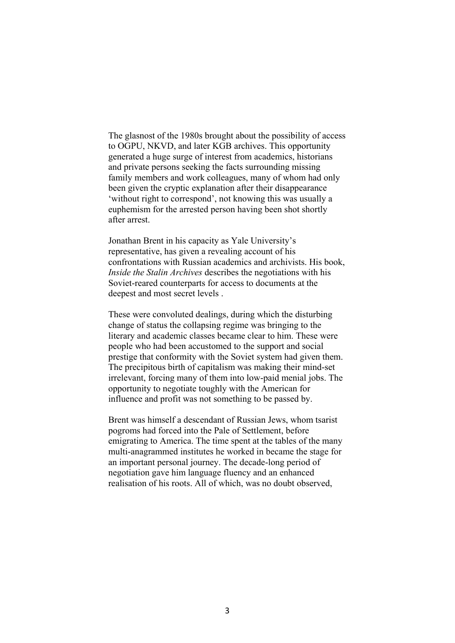The glasnost of the 1980s brought about the possibility of access to OGPU, NKVD, and later KGB archives. This opportunity generated a huge surge of interest from academics, historians and private persons seeking the facts surrounding missing family members and work colleagues, many of whom had only been given the cryptic explanation after their disappearance 'without right to correspond', not knowing this was usually a euphemism for the arrested person having been shot shortly after arrest.

Jonathan Brent in his capacity as Yale University's representative, has given a revealing account of his confrontations with Russian academics and archivists. His book, *Inside the Stalin Archives* describes the negotiations with his Soviet-reared counterparts for access to documents at the deepest and most secret levels .

These were convoluted dealings, during which the disturbing change of status the collapsing regime was bringing to the literary and academic classes became clear to him. These were people who had been accustomed to the support and social prestige that conformity with the Soviet system had given them. The precipitous birth of capitalism was making their mind-set irrelevant, forcing many of them into low-paid menial jobs. The opportunity to negotiate toughly with the American for influence and profit was not something to be passed by.

Brent was himself a descendant of Russian Jews, whom tsarist pogroms had forced into the Pale of Settlement, before emigrating to America. The time spent at the tables of the many multi-anagrammed institutes he worked in became the stage for an important personal journey. The decade-long period of negotiation gave him language fluency and an enhanced realisation of his roots. All of which, was no doubt observed,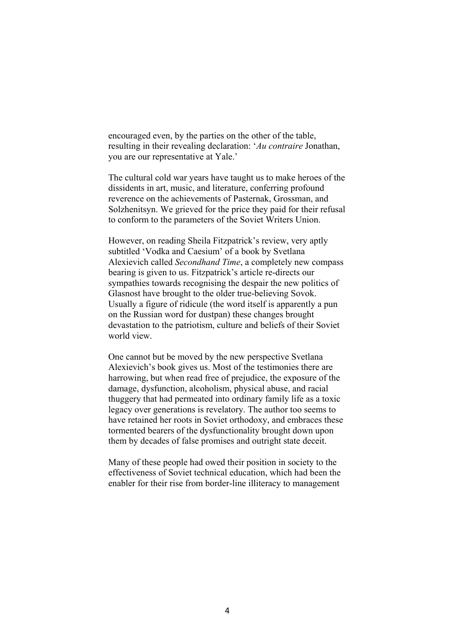encouraged even, by the parties on the other of the table, resulting in their revealing declaration: '*Au contraire* Jonathan, you are our representative at Yale.'

The cultural cold war years have taught us to make heroes of the dissidents in art, music, and literature, conferring profound reverence on the achievements of Pasternak, Grossman, and Solzhenitsyn. We grieved for the price they paid for their refusal to conform to the parameters of the Soviet Writers Union.

However, on reading Sheila Fitzpatrick's review, very aptly subtitled 'Vodka and Caesium' of a book by Svetlana Alexievich called *Secondhand Time*, a completely new compass bearing is given to us. Fitzpatrick's article re-directs our sympathies towards recognising the despair the new politics of Glasnost have brought to the older true-believing Sovok. Usually a figure of ridicule (the word itself is apparently a pun on the Russian word for dustpan) these changes brought devastation to the patriotism, culture and beliefs of their Soviet world view.

One cannot but be moved by the new perspective Svetlana Alexievich's book gives us. Most of the testimonies there are harrowing, but when read free of prejudice, the exposure of the damage, dysfunction, alcoholism, physical abuse, and racial thuggery that had permeated into ordinary family life as a toxic legacy over generations is revelatory. The author too seems to have retained her roots in Soviet orthodoxy, and embraces these tormented bearers of the dysfunctionality brought down upon them by decades of false promises and outright state deceit.

Many of these people had owed their position in society to the effectiveness of Soviet technical education, which had been the enabler for their rise from border-line illiteracy to management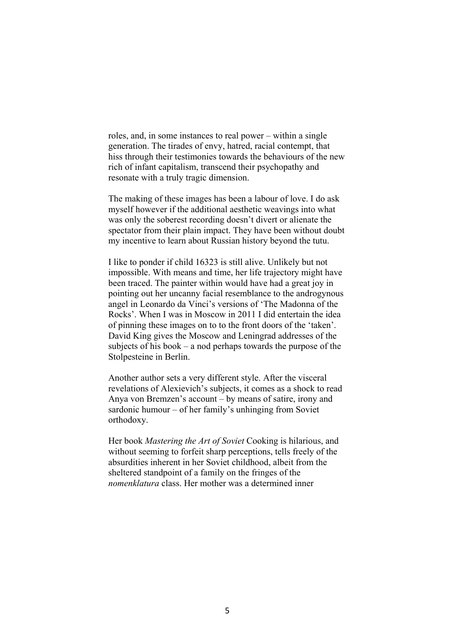roles, and, in some instances to real power – within a single generation. The tirades of envy, hatred, racial contempt, that hiss through their testimonies towards the behaviours of the new rich of infant capitalism, transcend their psychopathy and resonate with a truly tragic dimension.

The making of these images has been a labour of love. I do ask myself however if the additional aesthetic weavings into what was only the soberest recording doesn't divert or alienate the spectator from their plain impact. They have been without doubt my incentive to learn about Russian history beyond the tutu.

I like to ponder if child 16323 is still alive. Unlikely but not impossible. With means and time, her life trajectory might have been traced. The painter within would have had a great joy in pointing out her uncanny facial resemblance to the androgynous angel in Leonardo da Vinci's versions of 'The Madonna of the Rocks'. When I was in Moscow in 2011 I did entertain the idea of pinning these images on to to the front doors of the 'taken'. David King gives the Moscow and Leningrad addresses of the subjects of his book – a nod perhaps towards the purpose of the Stolpesteine in Berlin.

Another author sets a very different style. After the visceral revelations of Alexievich's subjects, it comes as a shock to read Anya von Bremzen's account – by means of satire, irony and sardonic humour – of her family's unhinging from Soviet orthodoxy.

Her book *Mastering the Art of Soviet* Cooking is hilarious, and without seeming to forfeit sharp perceptions, tells freely of the absurdities inherent in her Soviet childhood, albeit from the sheltered standpoint of a family on the fringes of the *nomenklatura* class. Her mother was a determined inner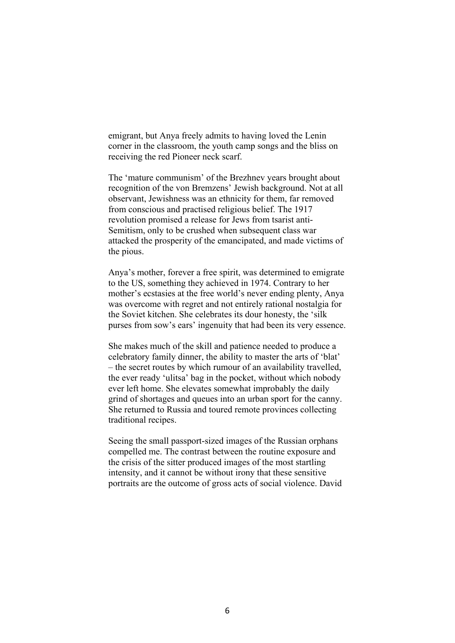emigrant, but Anya freely admits to having loved the Lenin corner in the classroom, the youth camp songs and the bliss on receiving the red Pioneer neck scarf.

The 'mature communism' of the Brezhnev years brought about recognition of the von Bremzens' Jewish background. Not at all observant, Jewishness was an ethnicity for them, far removed from conscious and practised religious belief. The 1917 revolution promised a release for Jews from tsarist anti-Semitism, only to be crushed when subsequent class war attacked the prosperity of the emancipated, and made victims of the pious.

Anya's mother, forever a free spirit, was determined to emigrate to the US, something they achieved in 1974. Contrary to her mother's ecstasies at the free world's never ending plenty, Anya was overcome with regret and not entirely rational nostalgia for the Soviet kitchen. She celebrates its dour honesty, the 'silk purses from sow's ears' ingenuity that had been its very essence.

She makes much of the skill and patience needed to produce a celebratory family dinner, the ability to master the arts of 'blat' – the secret routes by which rumour of an availability travelled, the ever ready 'ulitsa' bag in the pocket, without which nobody ever left home. She elevates somewhat improbably the daily grind of shortages and queues into an urban sport for the canny. She returned to Russia and toured remote provinces collecting traditional recipes.

Seeing the small passport-sized images of the Russian orphans compelled me. The contrast between the routine exposure and the crisis of the sitter produced images of the most startling intensity, and it cannot be without irony that these sensitive portraits are the outcome of gross acts of social violence. David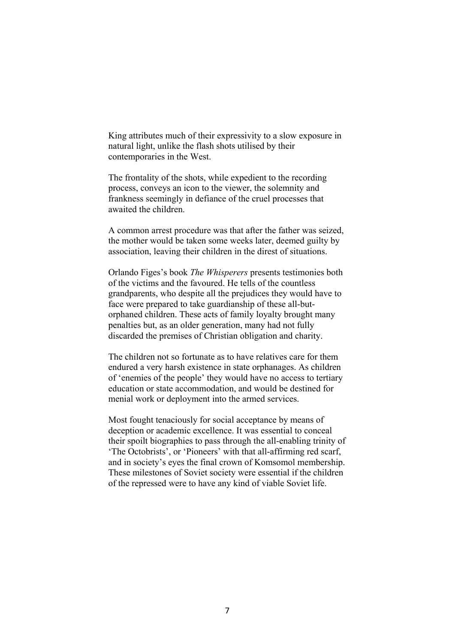King attributes much of their expressivity to a slow exposure in natural light, unlike the flash shots utilised by their contemporaries in the West.

The frontality of the shots, while expedient to the recording process, conveys an icon to the viewer, the solemnity and frankness seemingly in defiance of the cruel processes that awaited the children.

A common arrest procedure was that after the father was seized, the mother would be taken some weeks later, deemed guilty by association, leaving their children in the direst of situations.

Orlando Figes's book *The Whisperers* presents testimonies both of the victims and the favoured. He tells of the countless grandparents, who despite all the prejudices they would have to face were prepared to take guardianship of these all-butorphaned children. These acts of family loyalty brought many penalties but, as an older generation, many had not fully discarded the premises of Christian obligation and charity.

The children not so fortunate as to have relatives care for them endured a very harsh existence in state orphanages. As children of 'enemies of the people' they would have no access to tertiary education or state accommodation, and would be destined for menial work or deployment into the armed services.

Most fought tenaciously for social acceptance by means of deception or academic excellence. It was essential to conceal their spoilt biographies to pass through the all-enabling trinity of 'The Octobrists', or 'Pioneers' with that all-affirming red scarf, and in society's eyes the final crown of Komsomol membership. These milestones of Soviet society were essential if the children of the repressed were to have any kind of viable Soviet life.